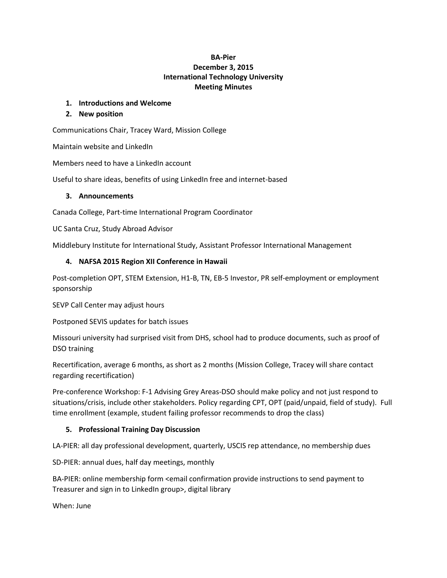# **BA-Pier December 3, 2015 International Technology University Meeting Minutes**

### **1. Introductions and Welcome**

### **2. New position**

Communications Chair, Tracey Ward, Mission College

Maintain website and LinkedIn

Members need to have a LinkedIn account

Useful to share ideas, benefits of using LinkedIn free and internet-based

#### **3. Announcements**

Canada College, Part-time International Program Coordinator

UC Santa Cruz, Study Abroad Advisor

Middlebury Institute for International Study, Assistant Professor International Management

### **4. NAFSA 2015 Region XII Conference in Hawaii**

Post-completion OPT, STEM Extension, H1-B, TN, EB-5 Investor, PR self-employment or employment sponsorship

SEVP Call Center may adjust hours

Postponed SEVIS updates for batch issues

Missouri university had surprised visit from DHS, school had to produce documents, such as proof of DSO training

Recertification, average 6 months, as short as 2 months (Mission College, Tracey will share contact regarding recertification)

Pre-conference Workshop: F-1 Advising Grey Areas-DSO should make policy and not just respond to situations/crisis, include other stakeholders. Policy regarding CPT, OPT (paid/unpaid, field of study). Full time enrollment (example, student failing professor recommends to drop the class)

### **5. Professional Training Day Discussion**

LA-PIER: all day professional development, quarterly, USCIS rep attendance, no membership dues

SD-PIER: annual dues, half day meetings, monthly

BA-PIER: online membership form <email confirmation provide instructions to send payment to Treasurer and sign in to LinkedIn group>, digital library

When: June